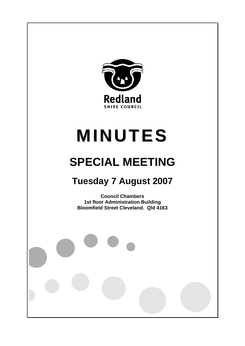

# **MINUTES**

## **SPECIAL MEETING**

### **Tuesday 7 August 2007**

**Council Chambers 1st floor Administration Building Bloomfield Street Cleveland. Qld 4163**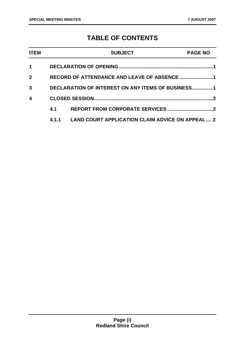#### **TABLE OF CONTENTS**

| <b>ITEM</b>  |                                                   | <b>SUBJECT</b>                                         | <b>PAGE NO</b> |
|--------------|---------------------------------------------------|--------------------------------------------------------|----------------|
| 1            |                                                   |                                                        |                |
| $\mathbf{2}$ | RECORD OF ATTENDANCE AND LEAVE OF ABSENCE 1       |                                                        |                |
| 3            | DECLARATION OF INTEREST ON ANY ITEMS OF BUSINESS1 |                                                        |                |
| 4            |                                                   |                                                        | 2              |
|              | 4.1                                               |                                                        |                |
|              | 4.1.1                                             | <b>LAND COURT APPLICATION CLAIM ADVICE ON APPEAL 2</b> |                |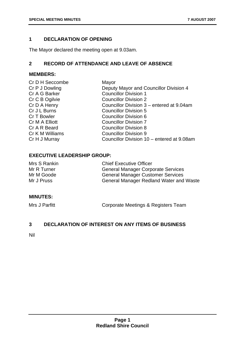#### **1 DECLARATION OF OPENING**

The Mayor declared the meeting open at 9.03am.

#### **2 RECORD OF ATTENDANCE AND LEAVE OF ABSENCE**

#### **MEMBERS:**

| Mayor                                      |
|--------------------------------------------|
| Deputy Mayor and Councillor Division 4     |
| <b>Councillor Division 1</b>               |
| <b>Councillor Division 2</b>               |
| Councillor Division 3 – entered at 9.04am  |
| <b>Councillor Division 5</b>               |
| <b>Councillor Division 6</b>               |
| <b>Councillor Division 7</b>               |
| <b>Councillor Division 8</b>               |
| <b>Councillor Division 9</b>               |
| Councillor Division 10 - entered at 9.08am |
|                                            |

#### **EXECUTIVE LEADERSHIP GROUP:**

| Mrs S Rankin | <b>Chief Executive Officer</b>                 |
|--------------|------------------------------------------------|
| Mr R Turner  | <b>General Manager Corporate Services</b>      |
| Mr M Goode   | <b>General Manager Customer Services</b>       |
| Mr J Pruss   | <b>General Manager Redland Water and Waste</b> |

#### **MINUTES:**

Mrs J Parfitt **Corporate Meetings & Registers Team** 

#### **3 DECLARATION OF INTEREST ON ANY ITEMS OF BUSINESS**

Nil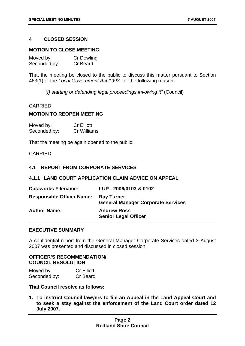#### **4 CLOSED SESSION**

#### **MOTION TO CLOSE MEETING**

| Moved by:    | <b>Cr Dowling</b> |
|--------------|-------------------|
| Seconded by: | Cr Beard          |

That the meeting be closed to the public to discuss this matter pursuant to Section 463(1) of the *Local Government Act 1993,* for the following reason:

"*(f) starting or defending legal proceedings involving it"* (Council)

#### CARRIED

#### **MOTION TO REOPEN MEETING**

| Moved by:    | <b>Cr Elliott</b> |
|--------------|-------------------|
| Seconded by: | Cr Williams       |

That the meeting be again opened to the public.

#### CARRIED

#### **4.1 REPORT FROM CORPORATE SERVICES**

#### **4.1.1 LAND COURT APPLICATION CLAIM ADVICE ON APPEAL**

| <b>Dataworks Filename:</b>       | LUP - 2006/0103 & 0102                                         |
|----------------------------------|----------------------------------------------------------------|
| <b>Responsible Officer Name:</b> | <b>Ray Turner</b><br><b>General Manager Corporate Services</b> |
| <b>Author Name:</b>              | <b>Andrew Ross</b><br><b>Senior Legal Officer</b>              |

#### **EXECUTIVE SUMMARY**

A confidential report from the General Manager Corporate Services dated 3 August 2007 was presented and discussed in closed session.

#### **OFFICER'S RECOMMENDATION/ COUNCIL RESOLUTION**

| Moved by:    | <b>Cr Elliott</b> |
|--------------|-------------------|
| Seconded by: | Cr Beard          |

**That Council resolve as follows:** 

**1. To instruct Council lawyers to file an Appeal in the Land Appeal Court and to seek a stay against the enforcement of the Land Court order dated 12 July 2007.**